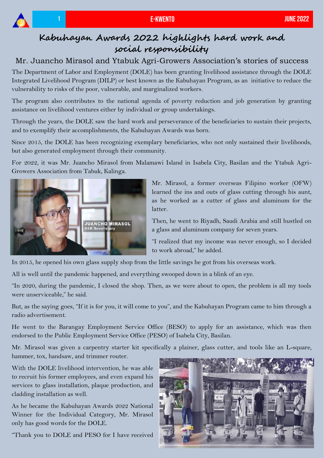

## **Kabuhayan Awards 2022 highlights hard work and social responsibility**

## Mr. Juancho Mirasol and Ytabuk Agri-Growers Association's stories of success

The Department of Labor and Employment (DOLE) has been granting livelihood assistance through the DOLE Integrated Livelihood Program (DILP) or best known as the Kabuhayan Program, as an initiative to reduce the vulnerability to risks of the poor, vulnerable, and marginalized workers.

The program also contributes to the national agenda of poverty reduction and job generation by granting assistance on livelihood ventures either by individual or group undertakings.

Through the years, the DOLE saw the hard work and perseverance of the beneficiaries to sustain their projects, and to exemplify their accomplishments, the Kabuhayan Awards was born.

Since 2015, the DOLE has been recognizing exemplary beneficiaries, who not only sustained their livelihoods, but also generated employment through their community.

For 2022, it was Mr. Juancho Mirasol from Malamawi Island in Isabela City, Basilan and the Ytabuk Agri-Growers Association from Tabuk, Kalinga.



Mr. Mirasol, a former overseas Filipino worker (OFW) learned the ins and outs of glass cutting through his aunt, as he worked as a cutter of glass and aluminum for the latter.

Then, he went to Riyadh, Saudi Arabia and still hustled on a glass and aluminum company for seven years.

"I realized that my income was never enough, so I decided to work abroad," he added.

In 2015, he opened his own glass supply shop from the little savings he got from his overseas work.

All is well until the pandemic happened, and everything swooped down in a blink of an eye.

"In 2020, during the pandemic, I closed the shop. Then, as we were about to open, the problem is all my tools were unserviceable," he said.

But, as the saying goes, "If it is for you, it will come to you", and the Kabuhayan Program came to him through a radio advertisement.

He went to the Barangay Employment Service Office (BESO) to apply for an assistance, which was then endorsed to the Public Employment Service Office (PESO) of Isabela City, Basilan.

Mr. Mirasol was given a carpentry starter kit specifically a plainer, glass cutter, and tools like an L-square, hammer, tox, handsaw, and trimmer router.

With the DOLE livelihood intervention, he was able to recruit his former employees, and even expand his services to glass installation, plaque production, and cladding installation as well.

As he became the Kabuhayan Awards 2022 National Winner for the Individual Category, Mr. Mirasol only has good words for the DOLE.

"Thank you to DOLE and PESO for I have received